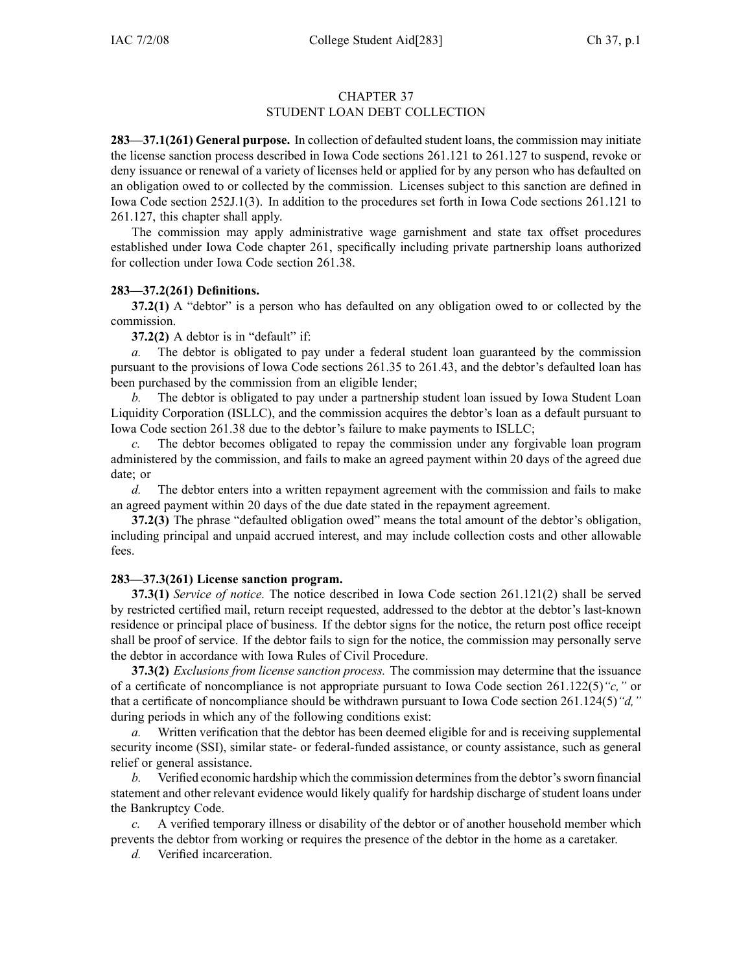## CHAPTER 37 STUDENT LOAN DEBT COLLECTION

**283—37.1(261) General purpose.** In collection of defaulted student loans, the commission may initiate the license sanction process described in Iowa Code sections 261.121 to 261.127 to suspend, revoke or deny issuance or renewal of <sup>a</sup> variety of licenses held or applied for by any person who has defaulted on an obligation owed to or collected by the commission. Licenses subject to this sanction are defined in Iowa Code section 252J.1(3). In addition to the procedures set forth in Iowa Code sections 261.121 to 261.127, this chapter shall apply.

The commission may apply administrative wage garnishment and state tax offset procedures established under Iowa Code chapter 261, specifically including private partnership loans authorized for collection under Iowa Code section 261.38.

## **283—37.2(261) Definitions.**

**37.2(1)** A "debtor" is a person who has defaulted on any obligation owed to or collected by the commission.

**37.2(2)** A debtor is in "default" if:

*a.* The debtor is obligated to pay under <sup>a</sup> federal student loan guaranteed by the commission pursuan<sup>t</sup> to the provisions of Iowa Code sections 261.35 to 261.43, and the debtor's defaulted loan has been purchased by the commission from an eligible lender;

*b.* The debtor is obligated to pay under <sup>a</sup> partnership student loan issued by Iowa Student Loan Liquidity Corporation (ISLLC), and the commission acquires the debtor's loan as <sup>a</sup> default pursuan<sup>t</sup> to Iowa Code section 261.38 due to the debtor's failure to make payments to ISLLC;

*c.* The debtor becomes obligated to repay the commission under any forgivable loan program administered by the commission, and fails to make an agreed paymen<sup>t</sup> within 20 days of the agreed due date; or

*d.* The debtor enters into <sup>a</sup> written repaymen<sup>t</sup> agreemen<sup>t</sup> with the commission and fails to make an agreed paymen<sup>t</sup> within 20 days of the due date stated in the repaymen<sup>t</sup> agreement.

**37.2(3)** The phrase "defaulted obligation owed" means the total amount of the debtor's obligation, including principal and unpaid accrued interest, and may include collection costs and other allowable fees.

## **283—37.3(261) License sanction program.**

**37.3(1)** *Service of notice.* The notice described in Iowa Code section 261.121(2) shall be served by restricted certified mail, return receipt requested, addressed to the debtor at the debtor's last-known residence or principal place of business. If the debtor signs for the notice, the return pos<sup>t</sup> office receipt shall be proof of service. If the debtor fails to sign for the notice, the commission may personally serve the debtor in accordance with Iowa Rules of Civil Procedure.

**37.3(2)** *Exclusions from license sanction process.* The commission may determine that the issuance of <sup>a</sup> certificate of noncompliance is not appropriate pursuan<sup>t</sup> to Iowa Code section 261.122(5)*"c,"* or that <sup>a</sup> certificate of noncompliance should be withdrawn pursuan<sup>t</sup> to Iowa Code section 261.124(5)*"d,"* during periods in which any of the following conditions exist:

*a.* Written verification that the debtor has been deemed eligible for and is receiving supplemental security income (SSI), similar state- or federal-funded assistance, or county assistance, such as general relief or general assistance.

*b.* Verified economic hardship which the commission determines from the debtor's sworn financial statement and other relevant evidence would likely qualify for hardship discharge of student loans under the Bankruptcy Code.

*c.* A verified temporary illness or disability of the debtor or of another household member which prevents the debtor from working or requires the presence of the debtor in the home as <sup>a</sup> caretaker.

*d.* Verified incarceration.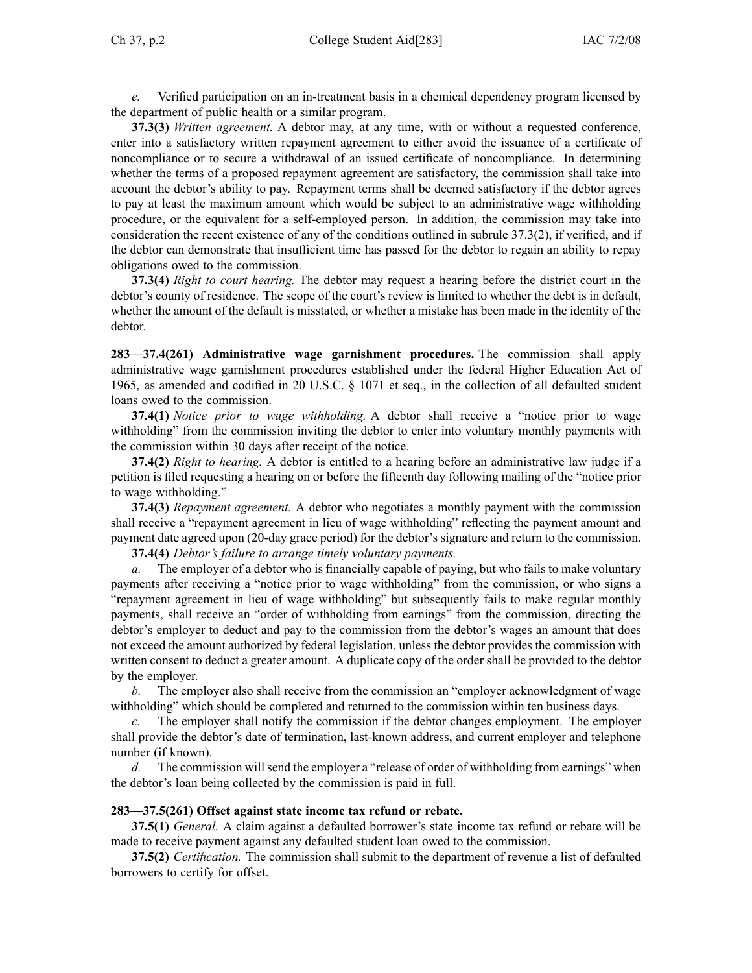*e.* Verified participation on an in-treatment basis in <sup>a</sup> chemical dependency program licensed by the department of public health or <sup>a</sup> similar program.

**37.3(3)** *Written agreement.* A debtor may, at any time, with or without <sup>a</sup> requested conference, enter into <sup>a</sup> satisfactory written repaymen<sup>t</sup> agreemen<sup>t</sup> to either avoid the issuance of <sup>a</sup> certificate of noncompliance or to secure <sup>a</sup> withdrawal of an issued certificate of noncompliance. In determining whether the terms of <sup>a</sup> proposed repaymen<sup>t</sup> agreemen<sup>t</sup> are satisfactory, the commission shall take into account the debtor's ability to pay. Repayment terms shall be deemed satisfactory if the debtor agrees to pay at least the maximum amount which would be subject to an administrative wage withholding procedure, or the equivalent for <sup>a</sup> self-employed person. In addition, the commission may take into consideration the recent existence of any of the conditions outlined in subrule 37.3(2), if verified, and if the debtor can demonstrate that insufficient time has passed for the debtor to regain an ability to repay obligations owed to the commission.

**37.3(4)** *Right to court hearing.* The debtor may reques<sup>t</sup> <sup>a</sup> hearing before the district court in the debtor's county of residence. The scope of the court's review is limited to whether the debt is in default, whether the amount of the default is misstated, or whether <sup>a</sup> mistake has been made in the identity of the debtor.

**283—37.4(261) Administrative wage garnishment procedures.** The commission shall apply administrative wage garnishment procedures established under the federal Higher Education Act of 1965, as amended and codified in 20 U.S.C. § 1071 et seq., in the collection of all defaulted student loans owed to the commission.

**37.4(1)** *Notice prior to wage withholding.* A debtor shall receive <sup>a</sup> "notice prior to wage withholding" from the commission inviting the debtor to enter into voluntary monthly payments with the commission within 30 days after receipt of the notice.

**37.4(2)** *Right to hearing.* A debtor is entitled to <sup>a</sup> hearing before an administrative law judge if <sup>a</sup> petition is filed requesting <sup>a</sup> hearing on or before the fifteenth day following mailing of the "notice prior to wage withholding."

**37.4(3)** *Repayment agreement.* A debtor who negotiates <sup>a</sup> monthly paymen<sup>t</sup> with the commission shall receive <sup>a</sup> "repayment agreemen<sup>t</sup> in lieu of wage withholding" reflecting the paymen<sup>t</sup> amount and paymen<sup>t</sup> date agreed upon (20-day grace period) for the debtor's signature and return to the commission.

**37.4(4)** *Debtor's failure to arrange timely voluntary payments.*

*a.* The employer of <sup>a</sup> debtor who is financially capable of paying, but who fails to make voluntary payments after receiving <sup>a</sup> "notice prior to wage withholding" from the commission, or who signs <sup>a</sup> "repayment agreemen<sup>t</sup> in lieu of wage withholding" but subsequently fails to make regular monthly payments, shall receive an "order of withholding from earnings" from the commission, directing the debtor's employer to deduct and pay to the commission from the debtor's wages an amount that does not exceed the amount authorized by federal legislation, unless the debtor provides the commission with written consent to deduct <sup>a</sup> greater amount. A duplicate copy of the order shall be provided to the debtor by the employer.

*b.* The employer also shall receive from the commission an "employer acknowledgment of wage withholding" which should be completed and returned to the commission within ten business days.

The employer shall notify the commission if the debtor changes employment. The employer shall provide the debtor's date of termination, last-known address, and current employer and telephone number (if known).

*d.* The commission will send the employer a "release of order of withholding from earnings" when the debtor's loan being collected by the commission is paid in full.

## **283—37.5(261) Offset against state income tax refund or rebate.**

**37.5(1)** *General.* A claim against <sup>a</sup> defaulted borrower's state income tax refund or rebate will be made to receive paymen<sup>t</sup> against any defaulted student loan owed to the commission.

**37.5(2)** *Certification.* The commission shall submit to the department of revenue <sup>a</sup> list of defaulted borrowers to certify for offset.